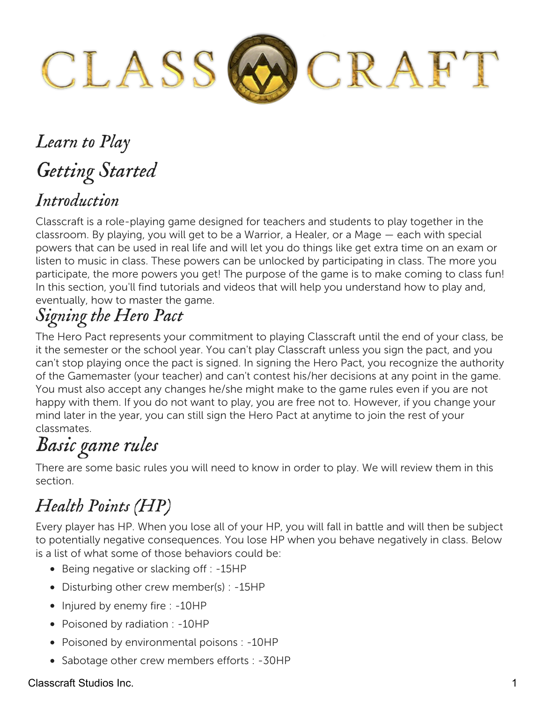

# *Learn to Play Getting Started Introduction*

Classcraft is a role-playing game designed for teachers and students to play together in the classroom. By playing, you will get to be a Warrior, a Healer, or a Mage — each with special powers that can be used in real life and will let you do things like get extra time on an exam or listen to music in class. These powers can be unlocked by participating in class. The more you participate, the more powers you get! The purpose of the game is to make coming to class fun! In this section, you'll find tutorials and videos that will help you understand how to play and, eventually, how to master the game.

## *Signing the Hero Pact*

The Hero Pact represents your commitment to playing Classcraft until the end of your class, be it the semester or the school year. You can't play Classcraft unless you sign the pact, and you can't stop playing once the pact is signed. In signing the Hero Pact, you recognize the authority of the Gamemaster (your teacher) and can't contest his/her decisions at any point in the game. You must also accept any changes he/she might make to the game rules even if you are not happy with them. If you do not want to play, you are free not to. However, if you change your mind later in the year, you can still sign the Hero Pact at anytime to join the rest of your classmates.

# *Basic game rules*

There are some basic rules you will need to know in order to play. We will review them in this section.

## *Health Points (HP)*

Every player has HP. When you lose all of your HP, you will fall in battle and will then be subject to potentially negative consequences. You lose HP when you behave negatively in class. Below is a list of what some of those behaviors could be:

- Being negative or slacking off : -15HP
- Disturbing other crew member(s) : -15HP
- Injured by enemy fire : -10HP
- Poisoned by radiation : -10HP
- Poisoned by environmental poisons : -10HP
- Sabotage other crew members efforts : -30HP

### Classcraft Studios Inc. 1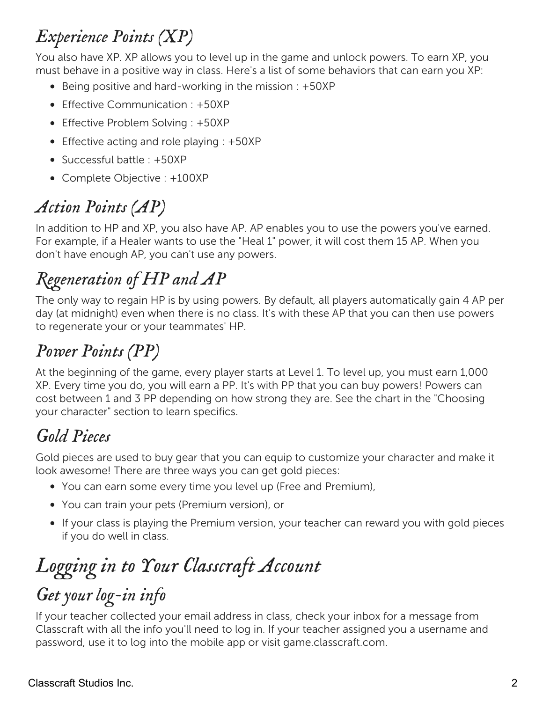## *Experience Points (XP)*

You also have XP. XP allows you to level up in the game and unlock powers. To earn XP, you must behave in a positive way in class. Here's a list of some behaviors that can earn you XP:

- $\bullet$  Being positive and hard-working in the mission : +50XP
- Effective Communication : +50XP
- Effective Problem Solving : +50XP
- Effective acting and role playing : +50XP
- Successful battle : +50XP
- Complete Objective : +100XP

## *Action Points (AP)*

In addition to HP and XP, you also have AP. AP enables you to use the powers you've earned. For example, if a Healer wants to use the "Heal 1" power, it will cost them 15 AP. When you don't have enough AP, you can't use any powers.

## *Regeneration of HP and AP*

The only way to regain HP is by using powers. By default, all players automatically gain 4 AP per day (at midnight) even when there is no class. It's with these AP that you can then use powers to regenerate your or your teammates' HP.

## *Power Points (PP)*

At the beginning of the game, every player starts at Level 1. To level up, you must earn 1,000 XP. Every time you do, you will earn a PP. It's with PP that you can buy powers! Powers can cost between 1 and 3 PP depending on how strong they are. See the chart in the "Choosing your character" section to learn specifics.

## *Gold Pieces*

Gold pieces are used to buy gear that you can equip to customize your character and make it look awesome! There are three ways you can get gold pieces:

- You can earn some every time you level up (Free and Premium),
- You can train your pets (Premium version), or
- If your class is playing the Premium version, your teacher can reward you with gold pieces if you do well in class.

# *Logging in to Your Classcraft Account*

## *Get your log-in info*

If your teacher collected your email address in class, check your inbox for a message from Classcraft with all the info you'll need to log in. If your teacher assigned you a username and password, use it to log into the mobile app or visit game.classcraft.com.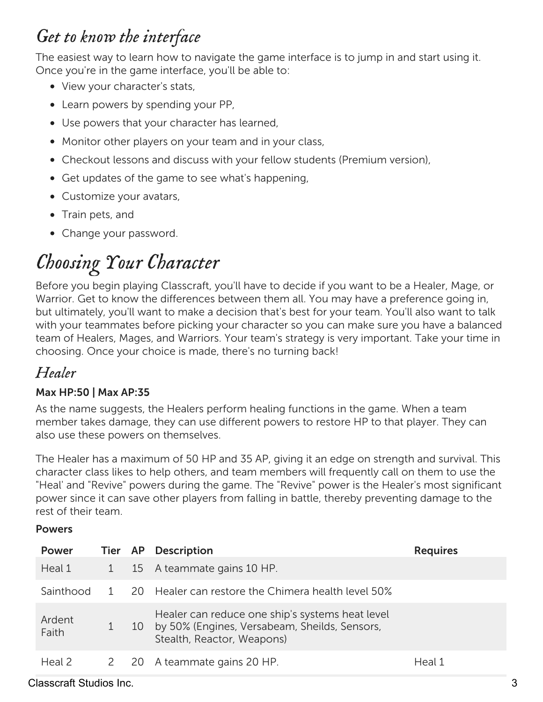## *Get to know the interface*

The easiest way to learn how to navigate the game interface is to jump in and start using it. Once you're in the game interface, you'll be able to:

- View your character's stats,
- Learn powers by spending your PP,
- Use powers that your character has learned,
- Monitor other players on your team and in your class,
- Checkout lessons and discuss with your fellow students (Premium version),
- Get updates of the game to see what's happening,
- Customize your avatars,
- Train pets, and
- Change your password.

# *Choosing Your Character*

Before you begin playing Classcraft, you'll have to decide if you want to be a Healer, Mage, or Warrior. Get to know the differences between them all. You may have a preference going in, but ultimately, you'll want to make a decision that's best for your team. You'll also want to talk with your teammates before picking your character so you can make sure you have a balanced team of Healers, Mages, and Warriors. Your team's strategy is very important. Take your time in choosing. Once your choice is made, there's no turning back!

### *Healer*

### Max HP:50 | Max AP:35

As the name suggests, the Healers perform healing functions in the game. When a team member takes damage, they can use different powers to restore HP to that player. They can also use these powers on themselves.

The Healer has a maximum of 50 HP and 35 AP, giving it an edge on strength and survival. This character class likes to help others, and team members will frequently call on them to use the "Heal' and "Revive" powers during the game. The "Revive" power is the Healer's most significant power since it can save other players from falling in battle, thereby preventing damage to the rest of their team.

### **Powers**

| <b>Power</b>    |              | Tier AP Description                                                                                                               | <b>Requires</b> |
|-----------------|--------------|-----------------------------------------------------------------------------------------------------------------------------------|-----------------|
| Heal 1          | $\mathbf{1}$ | 15 A teammate gains 10 HP.                                                                                                        |                 |
| Sainthood       |              | 20 Healer can restore the Chimera health level 50%                                                                                |                 |
| Ardent<br>Faith |              | Healer can reduce one ship's systems heat level<br>10 by 50% (Engines, Versabeam, Sheilds, Sensors,<br>Stealth, Reactor, Weapons) |                 |
| Heal 2          |              | 2 20 A teammate gains 20 HP.                                                                                                      | Heal 1          |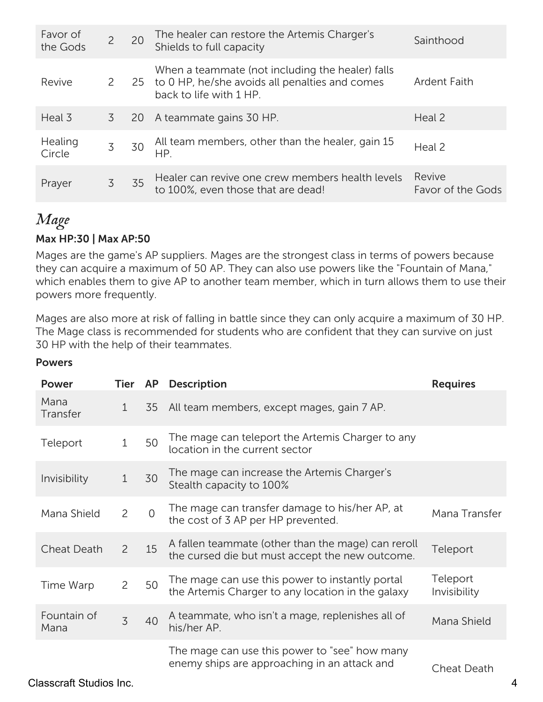| Favor of<br>the Gods | $\overline{2}$ | 20 | The healer can restore the Artemis Charger's<br>Shields to full capacity                                                         | Sainthood                   |
|----------------------|----------------|----|----------------------------------------------------------------------------------------------------------------------------------|-----------------------------|
| Revive               | $\mathbf{2}$   |    | When a teammate (not including the healer) falls<br>25 to 0 HP, he/she avoids all penalties and comes<br>back to life with 1 HP. | <b>Ardent Faith</b>         |
| Heal 3               | 3              | 20 | A teammate gains 30 HP.                                                                                                          | Heal 2                      |
| Healing<br>Circle    | 3              | 30 | All team members, other than the healer, gain 15<br>HP.                                                                          | Heal 2                      |
| Prayer               | 3              | 35 | Healer can revive one crew members health levels<br>to 100%, even those that are dead!                                           | Revive<br>Favor of the Gods |

### *Mage*

### Max HP:30 | Max AP:50

Mages are the game's AP suppliers. Mages are the strongest class in terms of powers because they can acquire a maximum of 50 AP. They can also use powers like the "Fountain of Mana," which enables them to give AP to another team member, which in turn allows them to use their powers more frequently.

Mages are also more at risk of falling in battle since they can only acquire a maximum of 30 HP. The Mage class is recommended for students who are confident that they can survive on just 30 HP with the help of their teammates.

| Power               | Tier AP        |          | <b>Description</b>                                                                                    | <b>Requires</b>          |
|---------------------|----------------|----------|-------------------------------------------------------------------------------------------------------|--------------------------|
| Mana<br>Transfer    | $\mathbf{1}$   | 35       | All team members, except mages, gain 7 AP.                                                            |                          |
| Teleport            | $\mathbf{1}$   | 50       | The mage can teleport the Artemis Charger to any<br>location in the current sector                    |                          |
| Invisibility        | 1              | 30       | The mage can increase the Artemis Charger's<br>Stealth capacity to 100%                               |                          |
| Mana Shield         | $\overline{2}$ | $\Omega$ | The mage can transfer damage to his/her AP, at<br>the cost of 3 AP per HP prevented.                  | Mana Transfer            |
| <b>Cheat Death</b>  | $\overline{2}$ | 15       | A fallen teammate (other than the mage) can reroll<br>the cursed die but must accept the new outcome. | Teleport                 |
| Time Warp           | $\overline{2}$ | 50       | The mage can use this power to instantly portal<br>the Artemis Charger to any location in the galaxy  | Teleport<br>Invisibility |
| Fountain of<br>Mana | $\overline{3}$ | 40       | A teammate, who isn't a mage, replenishes all of<br>his/her AP.                                       | Mana Shield              |
|                     |                |          | The mage can use this power to "see" how many<br>enemy ships are approaching in an attack and         | Cheat Death              |

### Powers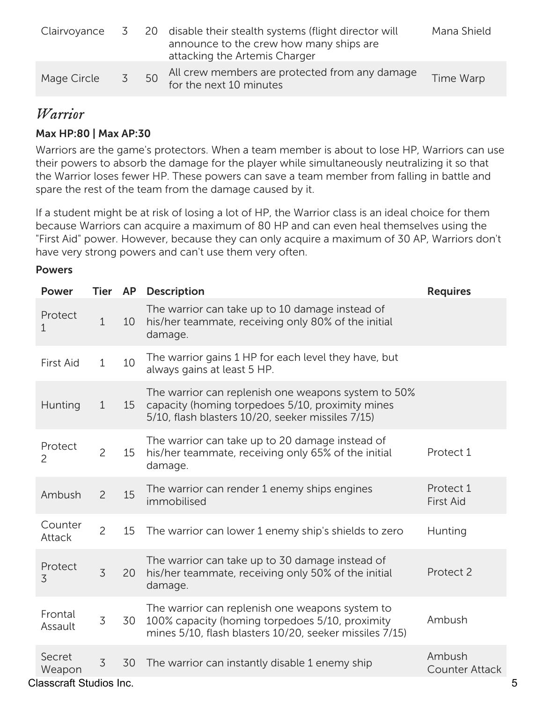| Clairvoyance | $\mathcal{S}$ |    | 20 disable their stealth systems (flight director will<br>announce to the crew how many ships are<br>attacking the Artemis Charger | Mana Shield |
|--------------|---------------|----|------------------------------------------------------------------------------------------------------------------------------------|-------------|
| Mage Circle  | 5             | 50 | All crew members are protected from any damage<br>for the next 10 minutes                                                          | Time Warp   |

### *Warrior*

### Max HP:80 | Max AP:30

Warriors are the game's protectors. When a team member is about to lose HP, Warriors can use their powers to absorb the damage for the player while simultaneously neutralizing it so that the Warrior loses fewer HP. These powers can save a team member from falling in battle and spare the rest of the team from the damage caused by it.

If a student might be at risk of losing a lot of HP, the Warrior class is an ideal choice for them because Warriors can acquire a maximum of 80 HP and can even heal themselves using the "First Aid" power. However, because they can only acquire a maximum of 30 AP, Warriors don't have very strong powers and can't use them very often.

### **Powers**

| <b>Power</b>                                       | Tier AP        |    | <b>Description</b>                                                                                                                                            | <b>Requires</b>                 |   |
|----------------------------------------------------|----------------|----|---------------------------------------------------------------------------------------------------------------------------------------------------------------|---------------------------------|---|
| Protect<br>$\mathbf{1}$                            | $\mathbf{1}$   | 10 | The warrior can take up to 10 damage instead of<br>his/her teammate, receiving only 80% of the initial<br>damage.                                             |                                 |   |
| <b>First Aid</b>                                   | $\mathbf{1}$   | 10 | The warrior gains 1 HP for each level they have, but<br>always gains at least 5 HP.                                                                           |                                 |   |
| Hunting                                            | $\mathbf{1}$   | 15 | The warrior can replenish one weapons system to 50%<br>capacity (homing torpedoes 5/10, proximity mines<br>5/10, flash blasters 10/20, seeker missiles 7/15)  |                                 |   |
| Protect<br>2                                       | $\overline{2}$ | 15 | The warrior can take up to 20 damage instead of<br>his/her teammate, receiving only 65% of the initial<br>damage.                                             | Protect 1                       |   |
| Ambush                                             | $\overline{c}$ | 15 | The warrior can render 1 enemy ships engines<br>immobilised                                                                                                   | Protect 1<br><b>First Aid</b>   |   |
| Counter<br>Attack                                  | $\overline{2}$ | 15 | The warrior can lower 1 enemy ship's shields to zero                                                                                                          | Hunting                         |   |
| Protect<br>$\overline{3}$                          | $\overline{3}$ | 20 | The warrior can take up to 30 damage instead of<br>his/her teammate, receiving only 50% of the initial<br>damage.                                             | Protect 2                       |   |
| Frontal<br>Assault                                 | 3              | 30 | The warrior can replenish one weapons system to<br>100% capacity (homing torpedoes 5/10, proximity<br>mines 5/10, flash blasters 10/20, seeker missiles 7/15) | Ambush                          |   |
| Secret<br>Weapon<br><b>Classcraft Studios Inc.</b> | $\overline{3}$ | 30 | The warrior can instantly disable 1 enemy ship                                                                                                                | Ambush<br><b>Counter Attack</b> | 5 |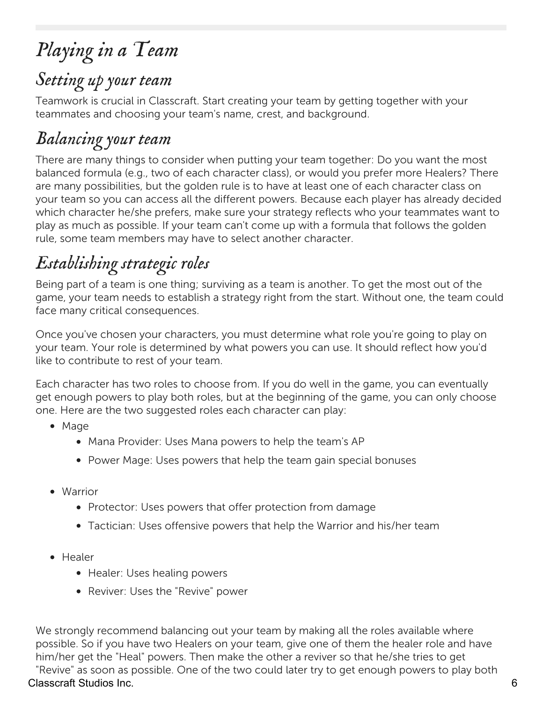# *Playing in a Team*

## *Setting up your team*

Teamwork is crucial in Classcraft. Start creating your team by getting together with your teammates and choosing your team's name, crest, and background.

## *Balancing your team*

There are many things to consider when putting your team together: Do you want the most balanced formula (e.g., two of each character class), or would you prefer more Healers? There are many possibilities, but the golden rule is to have at least one of each character class on your team so you can access all the different powers. Because each player has already decided which character he/she prefers, make sure your strategy reflects who your teammates want to play as much as possible. If your team can't come up with a formula that follows the golden rule, some team members may have to select another character.

# *Establishing strategic roles*

Being part of a team is one thing; surviving as a team is another. To get the most out of the game, your team needs to establish a strategy right from the start. Without one, the team could face many critical consequences.

Once you've chosen your characters, you must determine what role you're going to play on your team. Your role is determined by what powers you can use. It should reflect how you'd like to contribute to rest of your team.

Each character has two roles to choose from. If you do well in the game, you can eventually get enough powers to play both roles, but at the beginning of the game, you can only choose one. Here are the two suggested roles each character can play:

- Mage
	- Mana Provider: Uses Mana powers to help the team's AP
	- Power Mage: Uses powers that help the team gain special bonuses
- Warrior
	- Protector: Uses powers that offer protection from damage
	- Tactician: Uses offensive powers that help the Warrior and his/her team
- Healer
	- Healer: Uses healing powers
	- Reviver: Uses the "Revive" power

We strongly recommend balancing out your team by making all the roles available where possible. So if you have two Healers on your team, give one of them the healer role and have him/her get the "Heal" powers. Then make the other a reviver so that he/she tries to get "Revive" as soon as possible. One of the two could later try to get enough powers to play both Classcraft Studios Inc. 6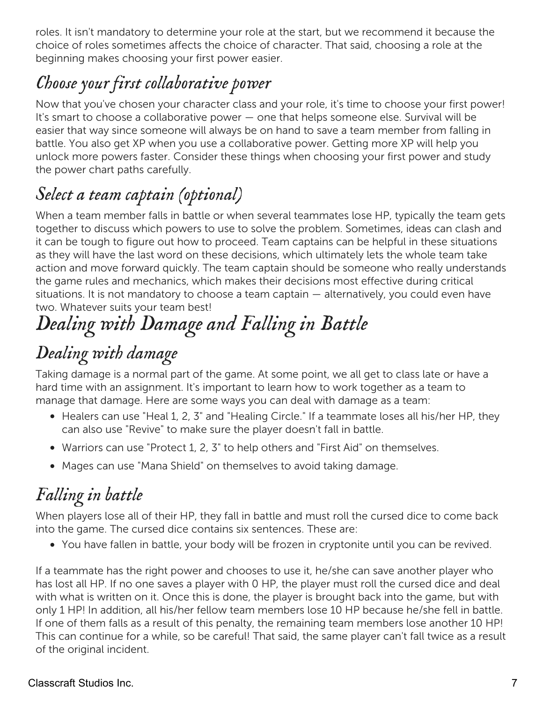roles. It isn't mandatory to determine your role at the start, but we recommend it because the choice of roles sometimes affects the choice of character. That said, choosing a role at the beginning makes choosing your first power easier.

## *Choose your first collaborative power*

Now that you've chosen your character class and your role, it's time to choose your first power! It's smart to choose a collaborative power — one that helps someone else. Survival will be easier that way since someone will always be on hand to save a team member from falling in battle. You also get XP when you use a collaborative power. Getting more XP will help you unlock more powers faster. Consider these things when choosing your first power and study the power chart paths carefully.

## *Select a team captain (optional)*

When a team member falls in battle or when several teammates lose HP, typically the team gets together to discuss which powers to use to solve the problem. Sometimes, ideas can clash and it can be tough to figure out how to proceed. Team captains can be helpful in these situations as they will have the last word on these decisions, which ultimately lets the whole team take action and move forward quickly. The team captain should be someone who really understands the game rules and mechanics, which makes their decisions most effective during critical situations. It is not mandatory to choose a team captain — alternatively, you could even have two. Whatever suits your team best!

# *Dealing with Damage and Falling in Battle*

## *Dealing with damage*

Taking damage is a normal part of the game. At some point, we all get to class late or have a hard time with an assignment. It's important to learn how to work together as a team to manage that damage. Here are some ways you can deal with damage as a team:

- Healers can use "Heal 1, 2, 3" and "Healing Circle." If a teammate loses all his/her HP, they can also use "Revive" to make sure the player doesn't fall in battle.
- Warriors can use "Protect 1, 2, 3" to help others and "First Aid" on themselves.
- Mages can use "Mana Shield" on themselves to avoid taking damage.

## *Falling in battle*

When players lose all of their HP, they fall in battle and must roll the cursed dice to come back into the game. The cursed dice contains six sentences. These are:

You have fallen in battle, your body will be frozen in cryptonite until you can be revived.

If a teammate has the right power and chooses to use it, he/she can save another player who has lost all HP. If no one saves a player with 0 HP, the player must roll the cursed dice and deal with what is written on it. Once this is done, the player is brought back into the game, but with only 1 HP! In addition, all his/her fellow team members lose 10 HP because he/she fell in battle. If one of them falls as a result of this penalty, the remaining team members lose another 10 HP! This can continue for a while, so be careful! That said, the same player can't fall twice as a result of the original incident.

### Classcraft Studios Inc. 7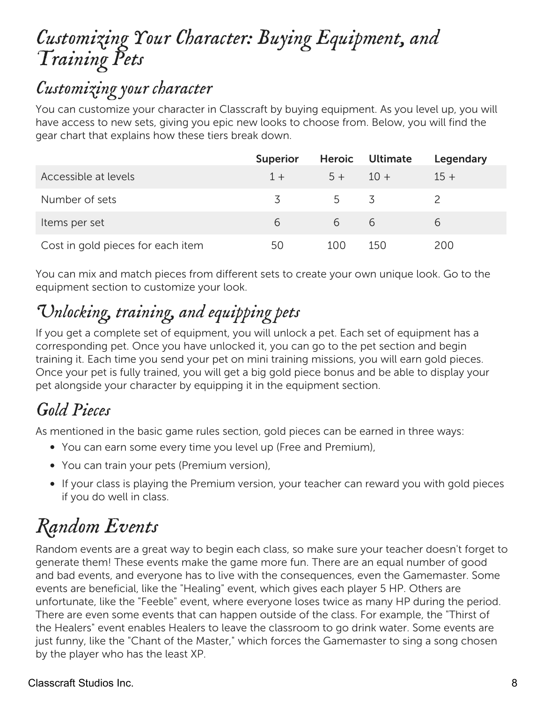## *Customizing Your Character: Buying Equipment, and Training Pets*

## *Customizing your character*

You can customize your character in Classcraft by buying equipment. As you level up, you will have access to new sets, giving you epic new looks to choose from. Below, you will find the gear chart that explains how these tiers break down.

|                                   | <b>Superior</b> |            | Heroic Ultimate | Legendary |
|-----------------------------------|-----------------|------------|-----------------|-----------|
| Accessible at levels              | $1 +$           | $5 + 10 +$ |                 | $15+$     |
| Number of sets                    | 3               | 5 3        |                 |           |
| Items per set                     | 6               | 6 6        |                 | 6         |
| Cost in gold pieces for each item | 50              | 100        | 150             | 200       |

You can mix and match pieces from different sets to create your own unique look. Go to the equipment section to customize your look.

# *Unlocking, training, and equipping pets*

If you get a complete set of equipment, you will unlock a pet. Each set of equipment has a corresponding pet. Once you have unlocked it, you can go to the pet section and begin training it. Each time you send your pet on mini training missions, you will earn gold pieces. Once your pet is fully trained, you will get a big gold piece bonus and be able to display your pet alongside your character by equipping it in the equipment section.

## *Gold Pieces*

As mentioned in the basic game rules section, gold pieces can be earned in three ways:

- You can earn some every time you level up (Free and Premium),
- You can train your pets (Premium version),
- If your class is playing the Premium version, your teacher can reward you with gold pieces if you do well in class.

# *Random Events*

Random events are a great way to begin each class, so make sure your teacher doesn't forget to generate them! These events make the game more fun. There are an equal number of good and bad events, and everyone has to live with the consequences, even the Gamemaster. Some events are beneficial, like the "Healing" event, which gives each player 5 HP. Others are unfortunate, like the "Feeble" event, where everyone loses twice as many HP during the period. There are even some events that can happen outside of the class. For example, the "Thirst of the Healers" event enables Healers to leave the classroom to go drink water. Some events are just funny, like the "Chant of the Master," which forces the Gamemaster to sing a song chosen by the player who has the least XP.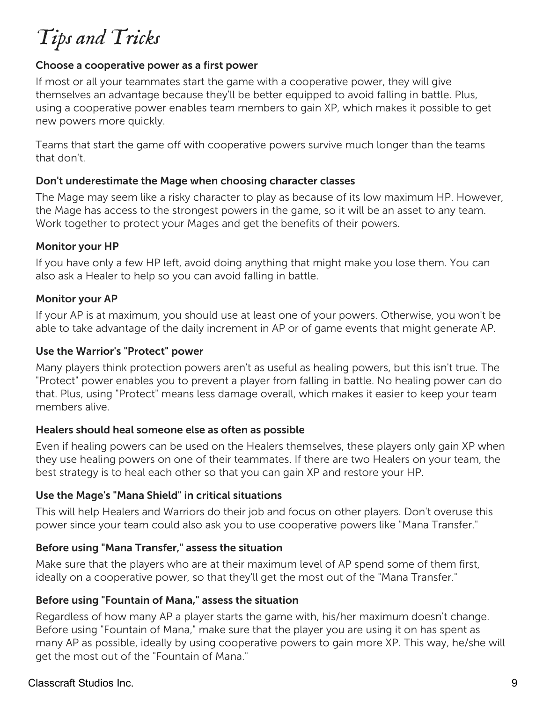# *Tips and Tricks*

### Choose a cooperative power as a first power

If most or all your teammates start the game with a cooperative power, they will give themselves an advantage because they'll be better equipped to avoid falling in battle. Plus, using a cooperative power enables team members to gain XP, which makes it possible to get new powers more quickly.

Teams that start the game off with cooperative powers survive much longer than the teams that don't.

### Don't underestimate the Mage when choosing character classes

The Mage may seem like a risky character to play as because of its low maximum HP. However, the Mage has access to the strongest powers in the game, so it will be an asset to any team. Work together to protect your Mages and get the benefits of their powers.

### Monitor your HP

If you have only a few HP left, avoid doing anything that might make you lose them. You can also ask a Healer to help so you can avoid falling in battle.

### Monitor your AP

If your AP is at maximum, you should use at least one of your powers. Otherwise, you won't be able to take advantage of the daily increment in AP or of game events that might generate AP.

### Use the Warrior's "Protect" power

Many players think protection powers aren't as useful as healing powers, but this isn't true. The "Protect" power enables you to prevent a player from falling in battle. No healing power can do that. Plus, using "Protect" means less damage overall, which makes it easier to keep your team members alive.

### Healers should heal someone else as often as possible

Even if healing powers can be used on the Healers themselves, these players only gain XP when they use healing powers on one of their teammates. If there are two Healers on your team, the best strategy is to heal each other so that you can gain XP and restore your HP.

### Use the Mage's "Mana Shield" in critical situations

This will help Healers and Warriors do their job and focus on other players. Don't overuse this power since your team could also ask you to use cooperative powers like "Mana Transfer."

### Before using "Mana Transfer," assess the situation

Make sure that the players who are at their maximum level of AP spend some of them first, ideally on a cooperative power, so that they'll get the most out of the "Mana Transfer."

### Before using "Fountain of Mana," assess the situation

Regardless of how many AP a player starts the game with, his/her maximum doesn't change. Before using "Fountain of Mana," make sure that the player you are using it on has spent as many AP as possible, ideally by using cooperative powers to gain more XP. This way, he/she will get the most out of the "Fountain of Mana."

### Classcraft Studios Inc. 9